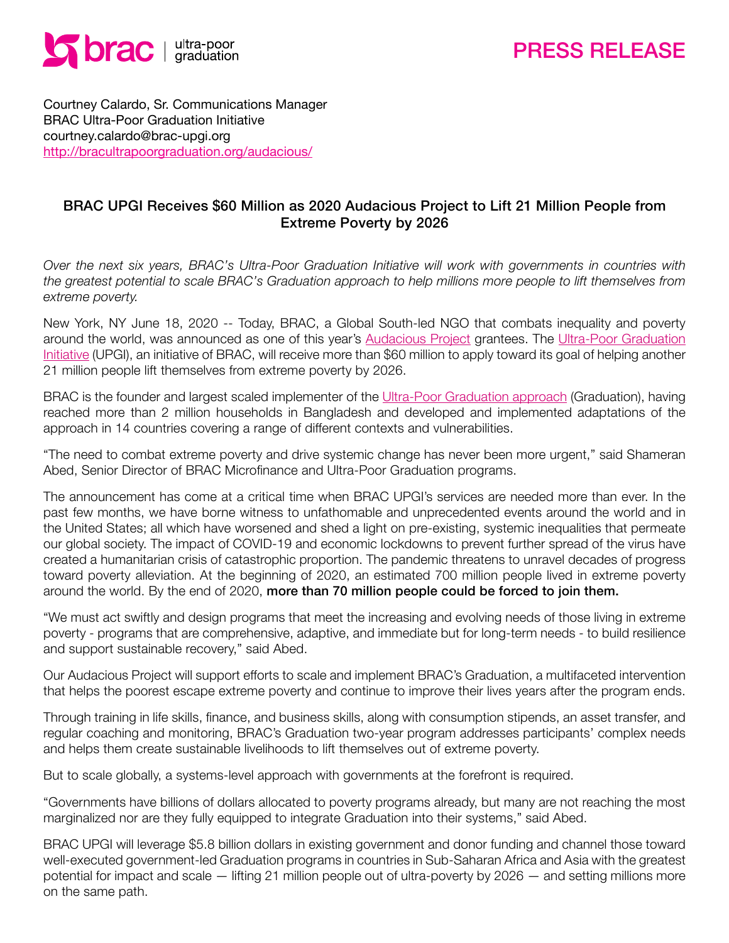

# PRESS RELEASE

Courtney Calardo, Sr. Communications Manager BRAC Ultra-Poor Graduation Initiative courtney.calardo@brac-upgi.org <http://bracultrapoorgraduation.org/audacious/>

### BRAC UPGI Receives \$60 Million as 2020 Audacious Project to Lift 21 Million People from Extreme Poverty by 2026

*Over the next six years, BRAC's Ultra-Poor Graduation Initiative will work with governments in countries with the greatest potential to scale BRAC's Graduation approach to help millions more people to lift themselves from extreme poverty.* 

New York, NY June 18, 2020 -- Today, BRAC, a Global South-led NGO that combats inequality and poverty around the world, was announced as one of this year's [Audacious Project](https://audaciousproject.org/about) grantees. The [Ultra-Poor Graduation](http://bracultrapoorgraduation.org/audacious/) [Initiative](http://bracultrapoorgraduation.org/audacious/) (UPGI), an initiative of BRAC, will receive more than \$60 million to apply toward its goal of helping another 21 million people lift themselves from extreme poverty by 2026.

BRAC is the founder and largest scaled implementer of the [Ultra-Poor Graduation approach](http://bracultrapoorgraduation.org/what-is-graduation/) (Graduation), having reached more than 2 million households in Bangladesh and developed and implemented adaptations of the approach in 14 countries covering a range of different contexts and vulnerabilities.

"The need to combat extreme poverty and drive systemic change has never been more urgent," said Shameran Abed, Senior Director of BRAC Microfinance and Ultra-Poor Graduation programs.

The announcement has come at a critical time when BRAC UPGI's services are needed more than ever. In the past few months, we have borne witness to unfathomable and unprecedented events around the world and in the United States; all which have worsened and shed a light on pre-existing, systemic inequalities that permeate our global society. The impact of COVID-19 and economic lockdowns to prevent further spread of the virus have created a humanitarian crisis of catastrophic proportion. The pandemic threatens to unravel decades of progress toward poverty alleviation. At the beginning of 2020, an estimated 700 million people lived in extreme poverty around the world. By the end of 2020, more than 70 million people could be forced to join them.

"We must act swiftly and design programs that meet the increasing and evolving needs of those living in extreme poverty - programs that are comprehensive, adaptive, and immediate but for long-term needs - to build resilience and support sustainable recovery," said Abed.

Our Audacious Project will support efforts to scale and implement BRAC's Graduation, a multifaceted intervention that helps the poorest escape extreme poverty and continue to improve their lives years after the program ends.

Through training in life skills, finance, and business skills, along with consumption stipends, an asset transfer, and regular coaching and monitoring, BRAC's Graduation two-year program addresses participants' complex needs and helps them create sustainable livelihoods to lift themselves out of extreme poverty.

But to scale globally, a systems-level approach with governments at the forefront is required.

"Governments have billions of dollars allocated to poverty programs already, but many are not reaching the most marginalized nor are they fully equipped to integrate Graduation into their systems," said Abed.

BRAC UPGI will leverage \$5.8 billion dollars in existing government and donor funding and channel those toward well-executed government-led Graduation programs in countries in Sub-Saharan Africa and Asia with the greatest potential for impact and scale — lifting 21 million people out of ultra-poverty by 2026 — and setting millions more on the same path.